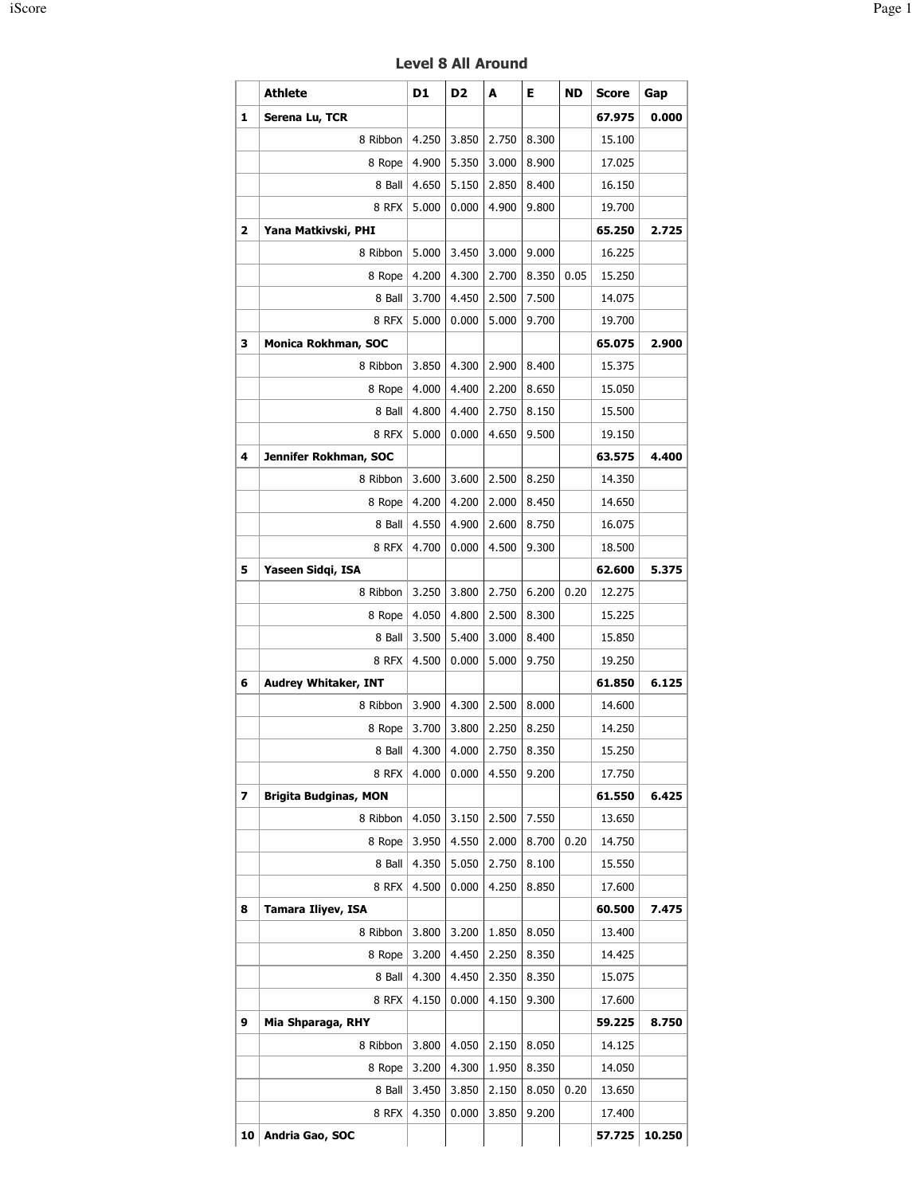|                         | <b>Athlete</b>               | D1             | D <sub>2</sub> | A              | Е              | <b>ND</b> | <b>Score</b>     | Gap   |
|-------------------------|------------------------------|----------------|----------------|----------------|----------------|-----------|------------------|-------|
| 1                       | Serena Lu, TCR               |                |                |                |                |           | 67.975           | 0.000 |
|                         | 8 Ribbon                     | 4.250          | 3.850          | 2.750          | 8.300          |           | 15.100           |       |
|                         | 8 Rope                       | 4.900          | 5.350          | 3.000          | 8.900          |           | 17.025           |       |
|                         | 8 Ball                       | 4.650          | 5.150          | 2.850          | 8.400          |           | 16.150           |       |
|                         | 8 RFX                        | 5.000          | 0.000          | 4.900          | 9.800          |           | 19.700           |       |
| $\overline{\mathbf{2}}$ | Yana Matkivski, PHI          |                |                |                |                |           | 65.250           | 2.725 |
|                         | 8 Ribbon                     | 5.000          | 3.450          | 3.000          | 9.000          |           | 16.225           |       |
|                         | 8 Rope                       | 4.200          | 4.300          | 2.700          | 8.350          | 0.05      | 15.250           |       |
|                         | 8 Ball                       | 3.700          | 4.450          | 2.500          | 7.500          |           | 14.075           |       |
|                         | 8 RFX                        | 5.000          | 0.000          | 5.000          | 9.700          |           | 19.700           |       |
| 3                       | Monica Rokhman, SOC          |                |                |                |                |           | 65.075           | 2.900 |
|                         | 8 Ribbon                     | 3.850          | 4.300          | 2.900          | 8.400          |           | 15.375           |       |
|                         | 8 Rope                       | 4.000          | 4.400          | 2.200          | 8.650          |           | 15.050           |       |
|                         | 8 Ball                       | 4.800          | 4.400          | 2.750          | 8.150          |           | 15.500           |       |
|                         | 8 RFX                        | 5.000          | 0.000          | 4.650          | 9.500          |           | 19.150           |       |
| 4                       | Jennifer Rokhman, SOC        |                |                |                |                |           | 63.575           | 4.400 |
|                         | 8 Ribbon                     | 3.600          | 3.600          | 2.500          | 8.250          |           | 14.350           |       |
|                         | 8 Rope                       | 4.200          | 4.200          | 2.000          | 8.450          |           | 14.650           |       |
|                         | 8 Ball                       | 4.550          | 4.900          | 2.600          | 8.750          |           | 16.075           |       |
|                         | 8 RFX                        | 4.700          | 0.000          | 4.500          | 9.300          |           | 18.500           |       |
| 5                       | Yaseen Sidqi, ISA            |                |                |                |                |           | 62.600           | 5.375 |
|                         | 8 Ribbon                     | 3.250          | 3.800          | 2.750          | 6.200          | 0.20      | 12.275           |       |
|                         | 8 Rope                       | 4.050          | 4.800          | 2.500          | 8.300          |           | 15.225           |       |
|                         | 8 Ball                       | 3.500          | 5.400          | 3.000          | 8.400          |           | 15.850           |       |
|                         | 8 RFX                        | 4.500          | 0.000          | 5.000          | 9.750          |           | 19.250           |       |
| 6                       | <b>Audrey Whitaker, INT</b>  |                |                |                |                |           | 61.850           | 6.125 |
|                         | 8 Ribbon                     | 3.900          | 4.300          | 2.500          | 8.000          |           | 14.600           |       |
|                         | 8 Rope                       | 3.700          | 3.800          | 2.250          | 8.250          |           | 14.250           |       |
|                         | 8 Ball                       | 4.300          | 4.000          | 2.750          | 8.350          |           | 15.250           |       |
|                         | 8 RFX                        | 4.000          | 0.000          | 4.550          | 9.200          |           | 17.750           |       |
| 7                       | <b>Brigita Budginas, MON</b> |                |                |                |                |           | 61.550           | 6.425 |
|                         | 8 Ribbon                     | 4.050          | 3.150          | 2.500          | 7.550          |           | 13.650           |       |
|                         | 8 Rope                       | 3.950          | 4.550          | 2.000          | 8.700          | 0.20      | 14.750           |       |
|                         | 8 Ball                       | 4.350          | 5.050          | 2.750          | 8.100          |           | 15.550           |       |
|                         | 8 RFX                        | 4.500          | 0.000          | 4.250          | 8.850          |           | 17.600           |       |
| 8                       | Tamara Iliyev, ISA           |                |                |                |                |           | 60.500           | 7.475 |
|                         | 8 Ribbon                     | 3.800          | 3.200          | 1.850          | 8.050          |           | 13.400           |       |
|                         | 8 Rope                       | 3.200          | 4.450          | 2.250          | 8.350          |           | 14.425           |       |
|                         | 8 Ball                       | 4.300          | 4.450          | 2.350          | 8.350          |           | 15.075           |       |
|                         | 8 RFX                        | 4.150          | 0.000          | 4.150          | 9.300          |           | 17.600           |       |
| 9                       | Mia Shparaga, RHY            |                |                |                |                |           | 59.225           | 8.750 |
|                         | 8 Ribbon                     | 3.800          | 4.050          | 2.150          | 8.050          |           | 14.125           |       |
|                         |                              |                |                |                |                |           |                  |       |
|                         | 8 Rope                       | 3.200          | 4.300          | 1.950          | 8.350          |           | 14.050           |       |
|                         | 8 Ball<br>8 RFX              | 3.450<br>4.350 | 3.850<br>0.000 | 2.150<br>3.850 | 8.050<br>9.200 | 0.20      | 13.650<br>17.400 |       |
|                         |                              |                |                |                |                |           |                  |       |

Level 8 All Around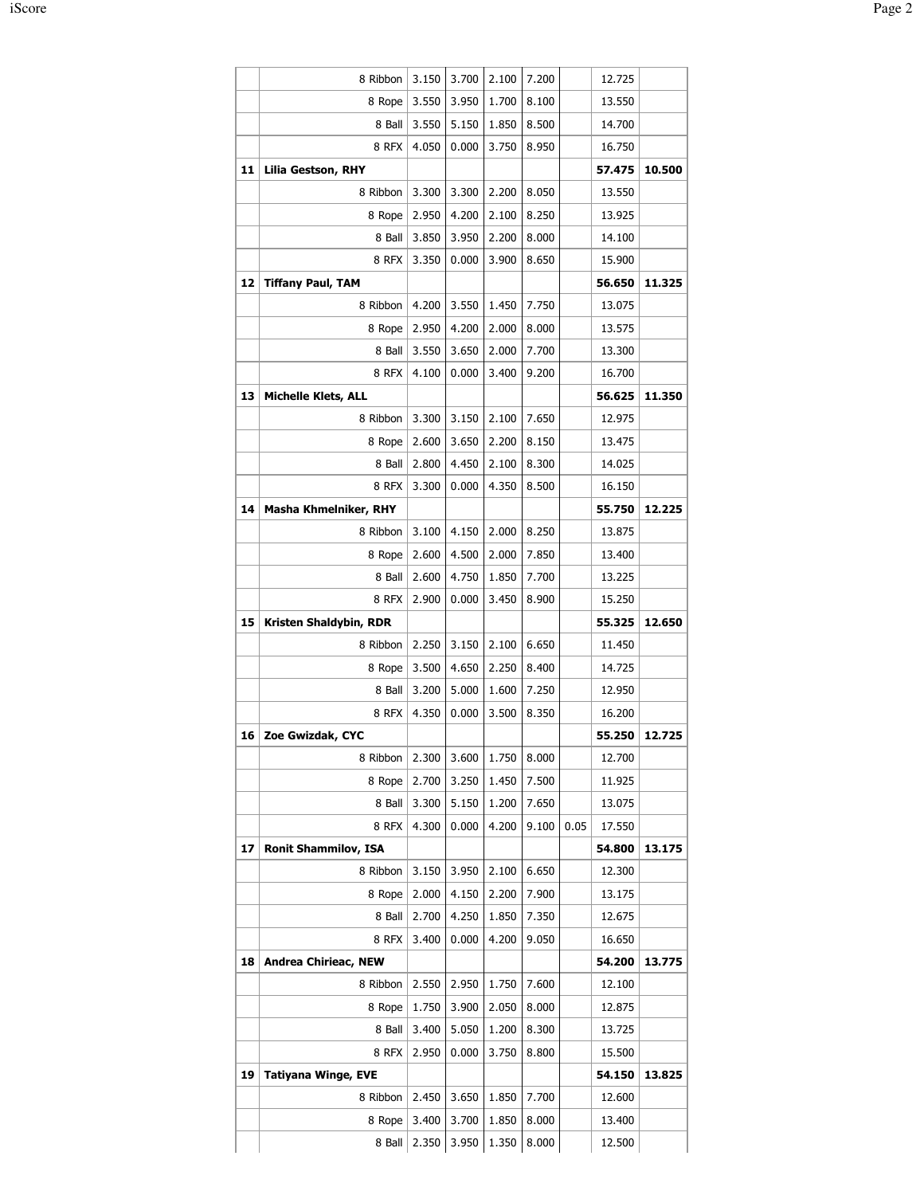|    | 8 Ribbon                    | 3.150 | 3.700 | 2.100 | 7.200 |      | 12.725 |        |
|----|-----------------------------|-------|-------|-------|-------|------|--------|--------|
|    | 8 Rope                      | 3.550 | 3.950 | 1.700 | 8.100 |      | 13.550 |        |
|    | 8 Ball                      | 3.550 | 5.150 | 1.850 | 8.500 |      | 14.700 |        |
|    | 8 RFX                       | 4.050 | 0.000 | 3.750 | 8.950 |      | 16.750 |        |
| 11 | <b>Lilia Gestson, RHY</b>   |       |       |       |       |      | 57.475 | 10.500 |
|    | 8 Ribbon                    | 3.300 | 3.300 | 2.200 | 8.050 |      | 13.550 |        |
|    | 8 Rope                      | 2.950 | 4.200 | 2.100 | 8.250 |      | 13.925 |        |
|    | 8 Ball                      | 3.850 | 3.950 | 2.200 | 8.000 |      | 14.100 |        |
|    | 8 RFX                       | 3.350 | 0.000 | 3.900 | 8.650 |      | 15.900 |        |
| 12 | <b>Tiffany Paul, TAM</b>    |       |       |       |       |      | 56.650 | 11.325 |
|    | 8 Ribbon                    | 4.200 | 3.550 | 1.450 | 7.750 |      | 13.075 |        |
|    | 8 Rope                      | 2.950 | 4.200 | 2.000 | 8.000 |      | 13.575 |        |
|    | 8 Ball                      | 3.550 | 3.650 | 2.000 | 7.700 |      | 13.300 |        |
|    | 8 RFX                       | 4.100 | 0.000 | 3.400 | 9.200 |      | 16.700 |        |
| 13 | <b>Michelle Klets, ALL</b>  |       |       |       |       |      | 56.625 | 11.350 |
|    | 8 Ribbon                    | 3.300 | 3.150 | 2.100 | 7.650 |      | 12.975 |        |
|    | 8 Rope                      | 2.600 | 3.650 | 2.200 | 8.150 |      | 13.475 |        |
|    | 8 Ball                      | 2.800 | 4.450 | 2.100 | 8.300 |      | 14.025 |        |
|    | 8 RFX                       | 3.300 | 0.000 | 4.350 | 8.500 |      | 16.150 |        |
| 14 | Masha Khmelniker, RHY       |       |       |       |       |      | 55.750 | 12.225 |
|    | 8 Ribbon                    | 3.100 | 4.150 | 2.000 | 8.250 |      | 13.875 |        |
|    |                             |       |       |       |       |      |        |        |
|    | 8 Rope                      | 2.600 | 4.500 | 2.000 | 7.850 |      | 13.400 |        |
|    | 8 Ball                      | 2.600 | 4.750 | 1.850 | 7.700 |      | 13.225 |        |
|    | 8 RFX                       | 2.900 | 0.000 | 3.450 | 8.900 |      | 15.250 |        |
| 15 | Kristen Shaldybin, RDR      |       |       |       |       |      | 55.325 | 12.650 |
|    | 8 Ribbon                    | 2.250 | 3.150 | 2.100 | 6.650 |      | 11.450 |        |
|    | 8 Rope                      | 3.500 | 4.650 | 2.250 | 8.400 |      | 14.725 |        |
|    | 8 Ball                      | 3.200 | 5.000 | 1.600 | 7.250 |      | 12.950 |        |
|    | 8 RFX                       | 4.350 | 0.000 | 3.500 | 8.350 |      | 16.200 |        |
| 16 | Zoe Gwizdak, CYC            |       |       |       |       |      | 55.250 | 12.725 |
|    | 8 Ribbon                    | 2.300 | 3.600 | 1.750 | 8.000 |      | 12.700 |        |
|    | 8 Rope                      | 2.700 | 3.250 | 1.450 | 7.500 |      | 11.925 |        |
|    | 8 Ball                      | 3.300 | 5.150 | 1.200 | 7.650 |      | 13.075 |        |
|    | 8 RFX                       | 4.300 | 0.000 | 4.200 | 9.100 | 0.05 | 17.550 |        |
| 17 | <b>Ronit Shammilov, ISA</b> |       |       |       |       |      | 54.800 | 13.175 |
|    | 8 Ribbon                    | 3.150 | 3.950 | 2.100 | 6.650 |      | 12.300 |        |
|    | 8 Rope                      | 2.000 | 4.150 | 2.200 | 7.900 |      | 13.175 |        |
|    | 8 Ball                      | 2.700 | 4.250 | 1.850 | 7.350 |      | 12.675 |        |
|    | 8 RFX                       | 3.400 | 0.000 | 4.200 | 9.050 |      | 16.650 |        |
| 18 | <b>Andrea Chirieac, NEW</b> |       |       |       |       |      | 54.200 | 13.775 |
|    | 8 Ribbon                    | 2.550 | 2.950 | 1.750 | 7.600 |      | 12.100 |        |
|    | 8 Rope                      | 1.750 | 3.900 | 2.050 | 8.000 |      | 12.875 |        |
|    | 8 Ball                      | 3.400 | 5.050 | 1.200 | 8.300 |      | 13.725 |        |
|    | 8 RFX                       | 2.950 | 0.000 | 3.750 | 8.800 |      | 15.500 |        |
| 19 | <b>Tatiyana Winge, EVE</b>  |       |       |       |       |      | 54.150 | 13.825 |
|    | 8 Ribbon                    | 2.450 | 3.650 | 1.850 | 7.700 |      | 12.600 |        |
|    | 8 Rope                      | 3.400 | 3.700 | 1.850 | 8.000 |      | 13.400 |        |
|    | 8 Ball                      | 2.350 | 3.950 | 1.350 | 8.000 |      | 12.500 |        |
|    |                             |       |       |       |       |      |        |        |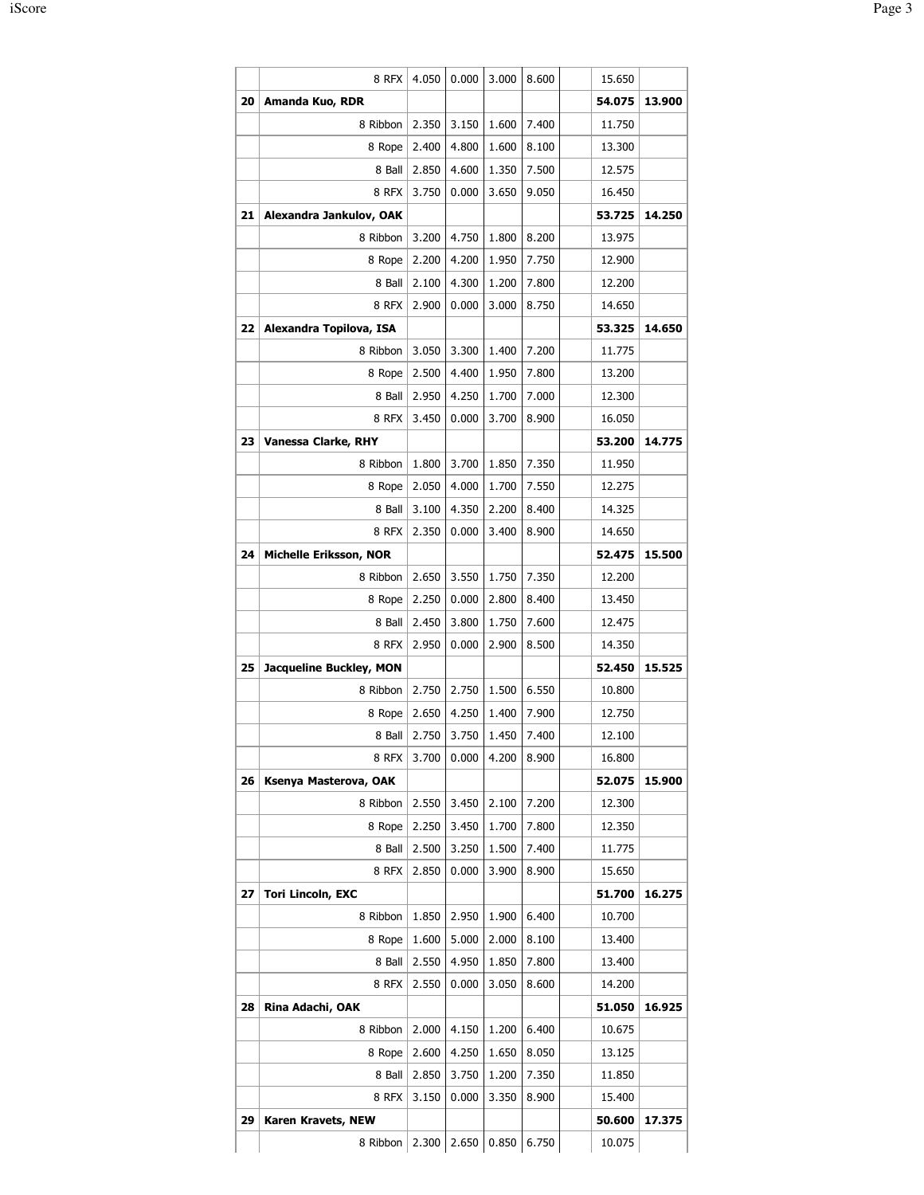|    | 8 RFX                         | 4.050          | 0.000          | 3.000          | 8.600                   | 15.650           |        |
|----|-------------------------------|----------------|----------------|----------------|-------------------------|------------------|--------|
| 20 | Amanda Kuo, RDR               |                |                |                |                         | 54.075           | 13.900 |
|    | 8 Ribbon                      | 2.350          | 3.150          | 1.600          | 7.400                   | 11.750           |        |
|    | 8 Rope                        | 2.400          | 4.800          | 1.600          | 8.100                   | 13.300           |        |
|    | 8 Ball                        | 2.850          | 4.600          | 1.350          | 7.500                   | 12.575           |        |
|    | 8 RFX                         | 3.750          | 0.000          | 3.650          | 9.050                   | 16.450           |        |
| 21 | Alexandra Jankulov, OAK       |                |                |                |                         | 53.725           | 14.250 |
|    | 8 Ribbon                      | 3.200          | 4.750          | 1.800          | 8.200                   | 13.975           |        |
|    | 8 Rope                        | 2.200          | 4.200          | 1.950          | 7.750                   | 12.900           |        |
|    | 8 Ball                        | 2.100          | 4.300          | 1.200          | 7.800                   | 12.200           |        |
|    | 8 RFX                         | 2.900          | 0.000          | 3.000          | 8.750                   | 14.650           |        |
| 22 | Alexandra Topilova, ISA       |                |                |                |                         | 53.325           | 14.650 |
|    | 8 Ribbon                      | 3.050          | 3.300          | 1.400          | 7.200                   | 11.775           |        |
|    | 8 Rope                        | 2.500          | 4.400          | 1.950          | 7.800                   | 13.200           |        |
|    | 8 Ball                        | 2.950          | 4.250          | 1.700          | 7.000                   | 12.300           |        |
|    | 8 RFX                         | 3.450          | 0.000          | 3.700          | 8.900                   | 16.050           |        |
| 23 | <b>Vanessa Clarke, RHY</b>    |                |                |                |                         | 53.200           | 14.775 |
|    | 8 Ribbon                      | 1.800          | 3.700          | 1.850          | 7.350                   | 11.950           |        |
|    | 8 Rope                        | 2.050          | 4.000          | 1.700          | 7.550                   | 12.275           |        |
|    | 8 Ball                        | 3.100          | 4.350          | 2.200          | 8.400                   | 14.325           |        |
|    | 8 RFX                         | 2.350          | 0.000          | 3.400          | 8.900                   | 14.650           |        |
| 24 | <b>Michelle Eriksson, NOR</b> |                |                |                |                         | 52.475           | 15.500 |
|    | 8 Ribbon                      | 2.650          | 3.550          | 1.750          | 7.350                   | 12.200           |        |
|    | 8 Rope                        | 2.250          | 0.000          | 2.800          | 8.400                   | 13.450           |        |
|    | 8 Ball                        | 2.450          | 3.800          | 1.750          | 7.600                   | 12.475           |        |
|    | 8 RFX                         | 2.950          | 0.000          | 2.900          | 8.500                   | 14.350           |        |
| 25 | Jacqueline Buckley, MON       |                |                |                |                         | 52.450           | 15.525 |
|    | 8 Ribbon                      | 2.750          | 2.750          | 1.500          | 6.550                   | 10.800           |        |
|    | 8 Rope                        | 2.650          | 4.250          | 1.400          | 7.900                   | 12.750           |        |
|    | 8 Ball                        | 2.750          | 3.750          | 1.450          | 7.400                   | 12.100           |        |
|    | 8 RFX                         | 3.700          | 0.000          | 4.200          | 8.900                   | 16.800           |        |
| 26 | Ksenya Masterova, OAK         |                |                |                |                         | 52.075           | 15.900 |
|    | 8 Ribbon                      | 2.550          | 3.450          | 2.100          | 7.200                   | 12.300           |        |
|    | 8 Rope                        | 2.250          | 3.450          | 1.700          | 7.800                   | 12.350           |        |
|    | 8 Ball                        | 2.500          | 3.250          | 1.500          | 7.400                   | 11.775           |        |
|    | 8 RFX                         | 2.850          | 0.000          | 3.900          | 8.900                   | 15.650           |        |
| 27 | <b>Tori Lincoln, EXC</b>      |                |                |                |                         | 51.700           | 16.275 |
|    | 8 Ribbon                      | 1.850          | 2.950          | 1.900          | 6.400                   | 10.700           |        |
|    | 8 Rope<br>8 Ball              | 1.600<br>2.550 | 5.000<br>4.950 | 2.000<br>1.850 | 8.100<br>7.800          | 13.400<br>13.400 |        |
|    | 8 RFX                         | 2.550          | 0.000          | 3.050          | 8.600                   | 14.200           |        |
| 28 | Rina Adachi, OAK              |                |                |                |                         | 51.050           | 16.925 |
|    | 8 Ribbon                      | 2.000          | 4.150          | 1.200          | 6.400                   | 10.675           |        |
|    | 8 Rope                        | 2.600          | 4.250          | 1.650          | 8.050                   | 13.125           |        |
|    | 8 Ball                        | 2.850          | 3.750          | 1.200          | 7.350                   | 11.850           |        |
|    | 8 RFX                         | 3.150          | 0.000          | 3.350          | 8.900                   | 15.400           |        |
| 29 | Karen Kravets, NEW            |                |                |                |                         | 50.600           | 17.375 |
|    | 8 Ribbon                      |                |                |                | 2.300 2.650 0.850 6.750 | 10.075           |        |
|    |                               |                |                |                |                         |                  |        |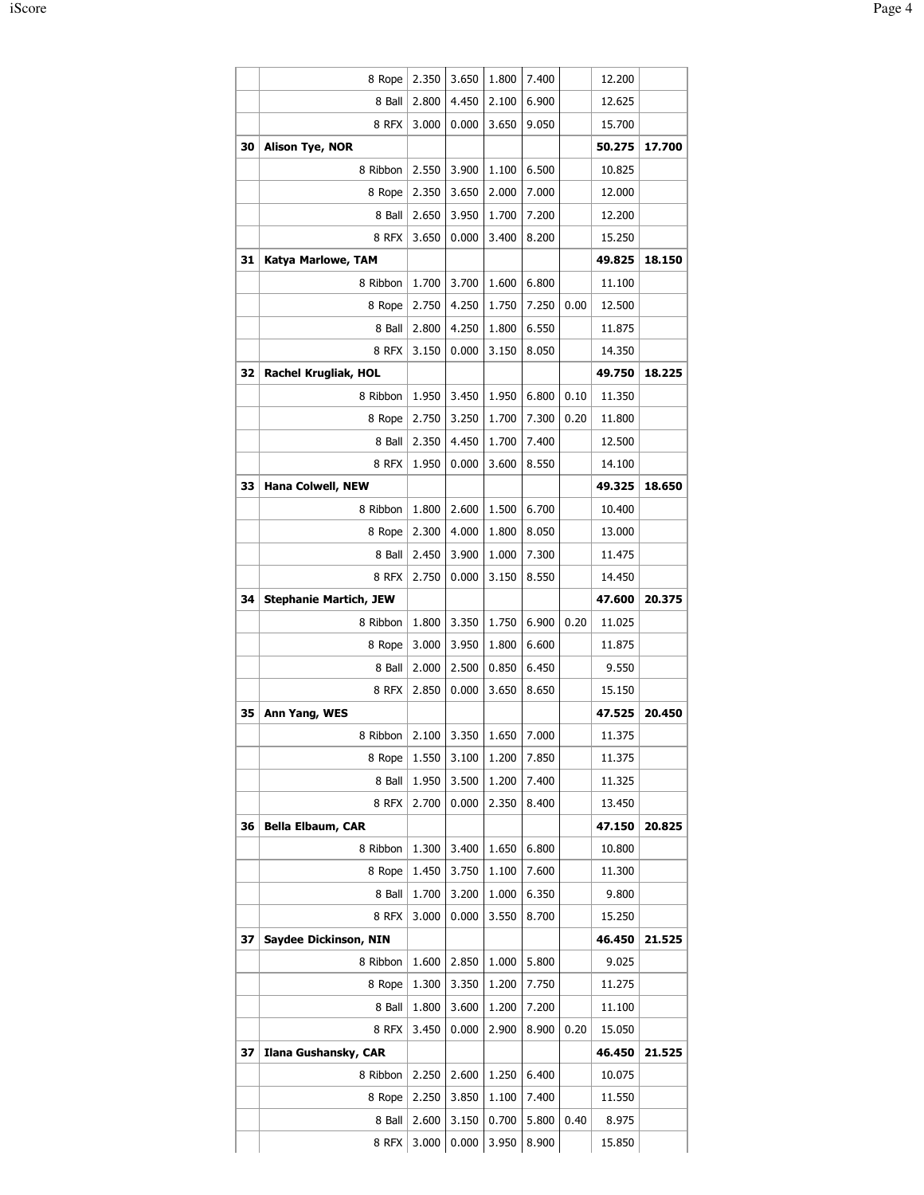|    | 8 Rope                        | 2.350 | 3.650 | 1.800 | 7.400 |      | 12.200 |        |
|----|-------------------------------|-------|-------|-------|-------|------|--------|--------|
|    | 8 Ball                        | 2.800 | 4.450 | 2.100 | 6.900 |      | 12.625 |        |
|    | 8 RFX                         | 3.000 | 0.000 | 3.650 | 9.050 |      | 15.700 |        |
| 30 | <b>Alison Tye, NOR</b>        |       |       |       |       |      | 50.275 | 17.700 |
|    | 8 Ribbon                      | 2.550 | 3.900 | 1.100 | 6.500 |      | 10.825 |        |
|    | 8 Rope                        | 2.350 | 3.650 | 2.000 | 7.000 |      | 12.000 |        |
|    | 8 Ball                        | 2.650 | 3.950 | 1.700 | 7.200 |      | 12.200 |        |
|    | 8 RFX                         | 3.650 | 0.000 | 3.400 | 8.200 |      | 15.250 |        |
| 31 | Katya Marlowe, TAM            |       |       |       |       |      | 49.825 | 18.150 |
|    | 8 Ribbon                      | 1.700 | 3.700 | 1.600 | 6.800 |      | 11.100 |        |
|    | 8 Rope                        | 2.750 | 4.250 | 1.750 | 7.250 | 0.00 | 12.500 |        |
|    | 8 Ball                        | 2.800 | 4.250 | 1.800 | 6.550 |      | 11.875 |        |
|    | 8 RFX                         | 3.150 | 0.000 | 3.150 | 8.050 |      | 14.350 |        |
| 32 | Rachel Krugliak, HOL          |       |       |       |       |      | 49.750 | 18.225 |
|    | 8 Ribbon                      | 1.950 | 3.450 | 1.950 | 6.800 | 0.10 | 11.350 |        |
|    | 8 Rope                        | 2.750 | 3.250 | 1.700 | 7.300 | 0.20 | 11.800 |        |
|    | 8 Ball                        | 2.350 | 4.450 | 1.700 | 7.400 |      | 12.500 |        |
|    | 8 RFX                         | 1.950 | 0.000 | 3.600 | 8.550 |      | 14.100 |        |
| 33 | <b>Hana Colwell, NEW</b>      |       |       |       |       |      | 49.325 | 18.650 |
|    | 8 Ribbon                      | 1.800 | 2.600 | 1.500 | 6.700 |      | 10.400 |        |
|    | 8 Rope                        | 2.300 | 4.000 | 1.800 | 8.050 |      | 13.000 |        |
|    | 8 Ball                        | 2.450 | 3.900 | 1.000 | 7.300 |      | 11.475 |        |
|    | 8 RFX                         | 2.750 | 0.000 | 3.150 | 8.550 |      | 14.450 |        |
| 34 | <b>Stephanie Martich, JEW</b> |       |       |       |       |      | 47.600 | 20.375 |
|    | 8 Ribbon                      | 1.800 | 3.350 | 1.750 | 6.900 | 0.20 | 11.025 |        |
|    | 8 Rope                        | 3.000 | 3.950 | 1.800 | 6.600 |      | 11.875 |        |
|    | 8 Ball                        | 2.000 | 2.500 | 0.850 | 6.450 |      | 9.550  |        |
|    | 8 RFX                         | 2.850 | 0.000 | 3.650 | 8.650 |      | 15.150 |        |
| 35 | Ann Yang, WES                 |       |       |       |       |      | 47.525 | 20.450 |
|    | 8 Ribbon 2.100 3.350 1.650    |       |       |       | 7.000 |      | 11.375 |        |
|    | 8 Rope                        | 1.550 | 3.100 | 1.200 | 7.850 |      | 11.375 |        |
|    | 8 Ball                        | 1.950 | 3.500 | 1.200 | 7.400 |      | 11.325 |        |
|    | 8 RFX                         | 2.700 | 0.000 | 2.350 | 8.400 |      | 13.450 |        |
| 36 | <b>Bella Elbaum, CAR</b>      |       |       |       |       |      | 47.150 | 20.825 |
|    |                               |       |       |       |       |      |        |        |
|    | 8 Ribbon                      | 1.300 | 3.400 | 1.650 | 6.800 |      | 10.800 |        |
|    | 8 Rope                        | 1.450 | 3.750 | 1.100 | 7.600 |      | 11.300 |        |
|    | 8 Ball                        | 1.700 | 3.200 | 1.000 | 6.350 |      | 9.800  |        |
|    | 8 RFX                         | 3.000 | 0.000 | 3.550 | 8.700 |      | 15.250 |        |
| 37 | Saydee Dickinson, NIN         |       |       |       |       |      | 46.450 | 21.525 |
|    | 8 Ribbon                      | 1.600 | 2.850 | 1.000 | 5.800 |      | 9.025  |        |
|    | 8 Rope                        | 1.300 | 3.350 | 1.200 | 7.750 |      | 11.275 |        |
|    | 8 Ball                        | 1.800 | 3.600 | 1.200 | 7.200 |      | 11.100 |        |
|    | 8 RFX                         | 3.450 | 0.000 | 2.900 | 8.900 | 0.20 | 15.050 |        |
| 37 | Ilana Gushansky, CAR          |       |       |       |       |      | 46.450 | 21.525 |
|    | 8 Ribbon                      | 2.250 | 2.600 | 1.250 | 6.400 |      | 10.075 |        |
|    | 8 Rope                        | 2.250 | 3.850 | 1.100 | 7.400 |      | 11.550 |        |
|    | 8 Ball                        | 2.600 | 3.150 | 0.700 | 5.800 | 0.40 | 8.975  |        |